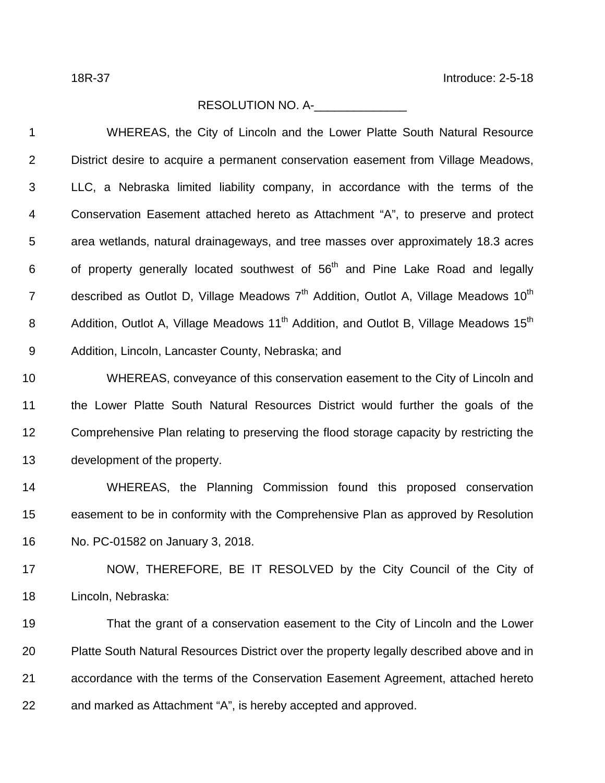## RESOLUTION NO. A-\_\_\_\_\_\_\_\_\_\_\_\_\_\_

| 1              | WHEREAS, the City of Lincoln and the Lower Platte South Natural Resource                                      |
|----------------|---------------------------------------------------------------------------------------------------------------|
| $\overline{2}$ | District desire to acquire a permanent conservation easement from Village Meadows,                            |
| $\mathfrak{B}$ | LLC, a Nebraska limited liability company, in accordance with the terms of the                                |
| 4              | Conservation Easement attached hereto as Attachment "A", to preserve and protect                              |
| 5              | area wetlands, natural drainageways, and tree masses over approximately 18.3 acres                            |
| 6              | of property generally located southwest of 56 <sup>th</sup> and Pine Lake Road and legally                    |
| $\overline{7}$ | described as Outlot D, Village Meadows 7 <sup>th</sup> Addition, Outlot A, Village Meadows 10 <sup>th</sup>   |
| 8              | Addition, Outlot A, Village Meadows 11 <sup>th</sup> Addition, and Outlot B, Village Meadows 15 <sup>th</sup> |
| $9\,$          | Addition, Lincoln, Lancaster County, Nebraska; and                                                            |
| 10             | WHEREAS, conveyance of this conservation easement to the City of Lincoln and                                  |
| 11             | the Lower Platte South Natural Resources District would further the goals of the                              |
| 12             | Comprehensive Plan relating to preserving the flood storage capacity by restricting the                       |
| 13             | development of the property.                                                                                  |
| 14             | WHEREAS, the Planning Commission found this proposed conservation                                             |
| 15             | easement to be in conformity with the Comprehensive Plan as approved by Resolution                            |
| 16             | No. PC-01582 on January 3, 2018.                                                                              |
| 17             | NOW, THEREFORE, BE IT RESOLVED by the City Council of the City of                                             |
| 18             | Lincoln, Nebraska:                                                                                            |
| 19             | That the grant of a conservation easement to the City of Lincoln and the Lower                                |
| 20             | Platte South Natural Resources District over the property legally described above and in                      |
| 21             | accordance with the terms of the Conservation Easement Agreement, attached hereto                             |
| 22             | and marked as Attachment "A", is hereby accepted and approved.                                                |
|                |                                                                                                               |